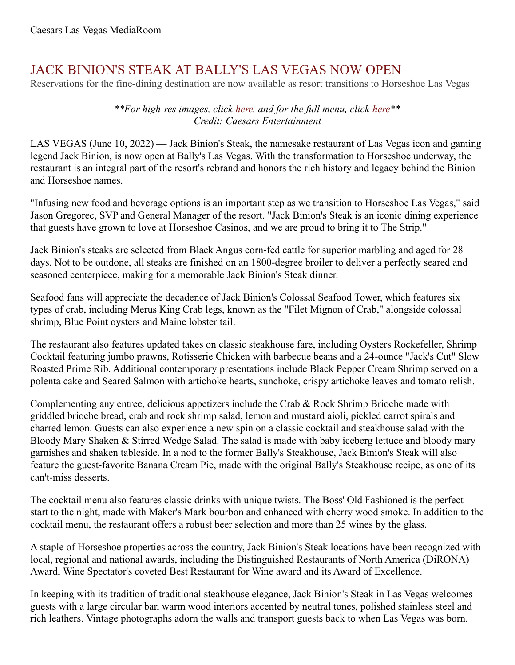## JACK BINION'S STEAK AT BALLY'S LAS VEGAS NOW OPEN

Reservations for the fine-dining destination are now available as resort transitions to Horseshoe Las Vegas

## *\*\*For high-res images, click [here](https://www.dropbox.com/sh/fhgeeawyi9u31i1/AADd5YjOYVPUVOPmZ84GRx87a?dl=0), and for the full menu, click [here](http://marketeammenulvjackbinions.com/Binions_Dinner.pdf)\*\* Credit: Caesars Entertainment*

LAS VEGAS (June 10, 2022) — Jack Binion's Steak, the namesake restaurant of Las Vegas icon and gaming legend Jack Binion, is now open at Bally's Las Vegas. With the transformation to Horseshoe underway, the restaurant is an integral part of the resort's rebrand and honors the rich history and legacy behind the Binion and Horseshoe names.

"Infusing new food and beverage options is an important step as we transition to Horseshoe Las Vegas," said Jason Gregorec, SVP and General Manager of the resort. "Jack Binion's Steak is an iconic dining experience that guests have grown to love at Horseshoe Casinos, and we are proud to bring it to The Strip."

Jack Binion's steaks are selected from Black Angus corn-fed cattle for superior marbling and aged for 28 days. Not to be outdone, all steaks are finished on an 1800-degree broiler to deliver a perfectly seared and seasoned centerpiece, making for a memorable Jack Binion's Steak dinner.

Seafood fans will appreciate the decadence of Jack Binion's Colossal Seafood Tower, which features six types of crab, including Merus King Crab legs, known as the "Filet Mignon of Crab," alongside colossal shrimp, Blue Point oysters and Maine lobster tail.

The restaurant also features updated takes on classic steakhouse fare, including Oysters Rockefeller, Shrimp Cocktail featuring jumbo prawns, Rotisserie Chicken with barbecue beans and a 24-ounce "Jack's Cut" Slow Roasted Prime Rib. Additional contemporary presentations include Black Pepper Cream Shrimp served on a polenta cake and Seared Salmon with artichoke hearts, sunchoke, crispy artichoke leaves and tomato relish.

Complementing any entree, delicious appetizers include the Crab & Rock Shrimp Brioche made with griddled brioche bread, crab and rock shrimp salad, lemon and mustard aioli, pickled carrot spirals and charred lemon. Guests can also experience a new spin on a classic cocktail and steakhouse salad with the Bloody Mary Shaken & Stirred Wedge Salad. The salad is made with baby iceberg lettuce and bloody mary garnishes and shaken tableside. In a nod to the former Bally's Steakhouse, Jack Binion's Steak will also feature the guest-favorite Banana Cream Pie, made with the original Bally's Steakhouse recipe, as one of its can't-miss desserts.

The cocktail menu also features classic drinks with unique twists. The Boss' Old Fashioned is the perfect start to the night, made with Maker's Mark bourbon and enhanced with cherry wood smoke. In addition to the cocktail menu, the restaurant offers a robust beer selection and more than 25 wines by the glass.

A staple of Horseshoe properties across the country, Jack Binion's Steak locations have been recognized with local, regional and national awards, including the Distinguished Restaurants of North America (DiRONA) Award, Wine Spectator's coveted Best Restaurant for Wine award and its Award of Excellence.

In keeping with its tradition of traditional steakhouse elegance, Jack Binion's Steak in Las Vegas welcomes guests with a large circular bar, warm wood interiors accented by neutral tones, polished stainless steel and rich leathers. Vintage photographs adorn the walls and transport guests back to when Las Vegas was born.